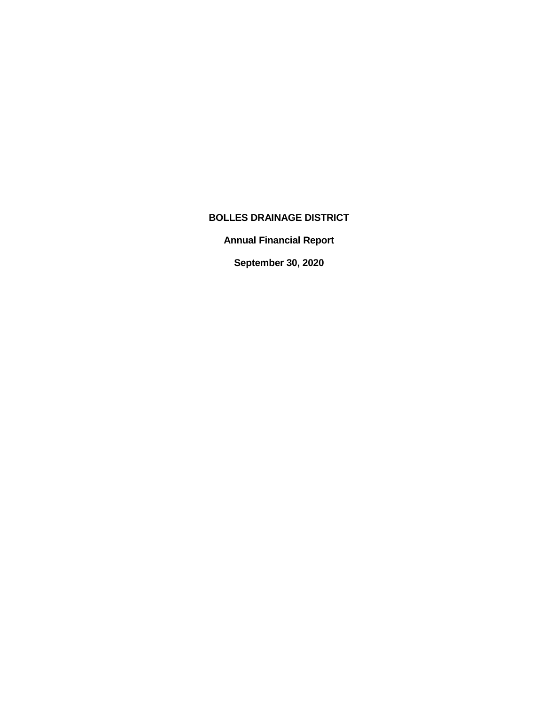# **BOLLES DRAINAGE DISTRICT**

 **Annual Financial Report** 

 **September 30, 2020**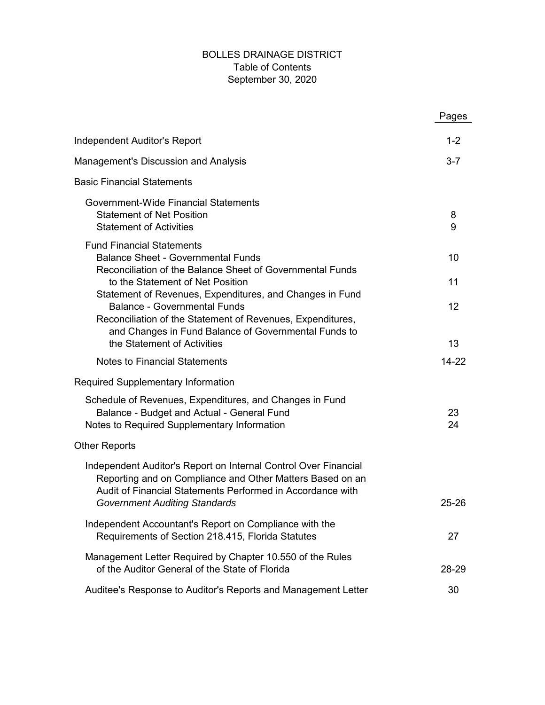# BOLLES DRAINAGE DISTRICT Table of Contents September 30, 2020

|                                                                                                                                                                                            | Pages     |
|--------------------------------------------------------------------------------------------------------------------------------------------------------------------------------------------|-----------|
| Independent Auditor's Report                                                                                                                                                               | $1 - 2$   |
| <b>Management's Discussion and Analysis</b>                                                                                                                                                | $3 - 7$   |
| <b>Basic Financial Statements</b>                                                                                                                                                          |           |
| Government-Wide Financial Statements<br><b>Statement of Net Position</b><br><b>Statement of Activities</b>                                                                                 | 8<br>9    |
| <b>Fund Financial Statements</b><br><b>Balance Sheet - Governmental Funds</b><br>Reconciliation of the Balance Sheet of Governmental Funds                                                 | 10        |
| to the Statement of Net Position<br>Statement of Revenues, Expenditures, and Changes in Fund<br><b>Balance - Governmental Funds</b>                                                        | 11<br>12  |
| Reconciliation of the Statement of Revenues, Expenditures,<br>and Changes in Fund Balance of Governmental Funds to<br>the Statement of Activities                                          | 13        |
| <b>Notes to Financial Statements</b>                                                                                                                                                       | 14-22     |
| Required Supplementary Information                                                                                                                                                         |           |
| Schedule of Revenues, Expenditures, and Changes in Fund<br>Balance - Budget and Actual - General Fund<br>Notes to Required Supplementary Information                                       | 23<br>24  |
| Other Reports                                                                                                                                                                              |           |
| Independent Auditor's Report on Internal Control Over Financial<br>Reporting and on Compliance and Other Matters Based on an<br>Audit of Financial Statements Performed in Accordance with |           |
| <b>Government Auditing Standards</b>                                                                                                                                                       | $25 - 26$ |
| Independent Accountant's Report on Compliance with the<br>Requirements of Section 218.415, Florida Statutes                                                                                | 27        |
| Management Letter Required by Chapter 10.550 of the Rules<br>of the Auditor General of the State of Florida                                                                                | 28-29     |
| Auditee's Response to Auditor's Reports and Management Letter                                                                                                                              | 30        |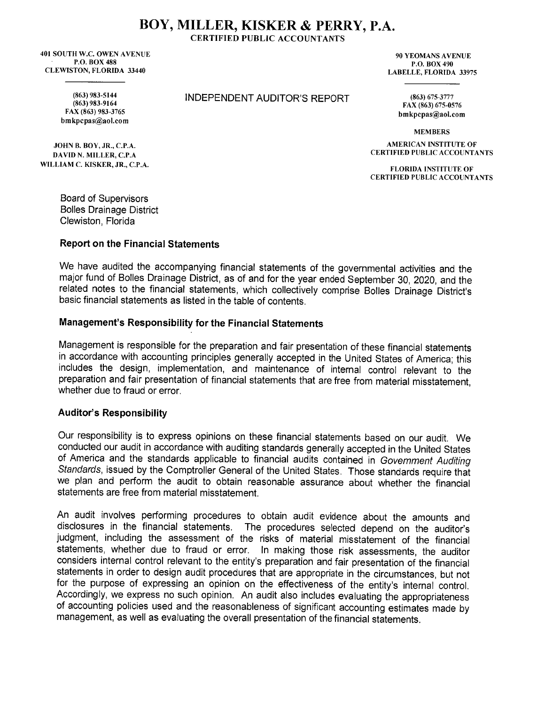# BOY, MILLER, KISKER & PERRY, P.A.

**CERTIFIED PUBLIC ACCOUNTANTS** 

**INDEPENDENT AUDITOR'S REPORT** 

401 SOUTH W.C. OWEN AVENUE **P.O. BOX 488 CLEWISTON, FLORIDA 33440** 

> $(863)$  983-5144  $(863)$  983-9164 FAX (863) 983-3765 bmkpcpas@aol.com

JOHN B. BOY, JR., C.P.A. DAVID N. MILLER. C.P.A WILLIAM C. KISKER, JR., C.P.A.

> **Board of Supervisors Bolles Drainage District** Clewiston, Florida

## **Report on the Financial Statements**

We have audited the accompanying financial statements of the governmental activities and the major fund of Bolles Drainage District, as of and for the year ended September 30, 2020, and the related notes to the financial statements, which collectively comprise Bolles Drainage District's basic financial statements as listed in the table of contents.

## Management's Responsibility for the Financial Statements

Management is responsible for the preparation and fair presentation of these financial statements in accordance with accounting principles generally accepted in the United States of America; this includes the design, implementation, and maintenance of internal control relevant to the preparation and fair presentation of financial statements that are free from material misstatement, whether due to fraud or error.

## **Auditor's Responsibility**

Our responsibility is to express opinions on these financial statements based on our audit. We conducted our audit in accordance with auditing standards generally accepted in the United States of America and the standards applicable to financial audits contained in Government Auditing Standards, issued by the Comptroller General of the United States. Those standards require that we plan and perform the audit to obtain reasonable assurance about whether the financial statements are free from material misstatement.

An audit involves performing procedures to obtain audit evidence about the amounts and disclosures in the financial statements. The procedures selected depend on the auditor's judgment, including the assessment of the risks of material misstatement of the financial statements, whether due to fraud or error. In making those risk assessments, the auditor considers internal control relevant to the entity's preparation and fair presentation of the financial statements in order to design audit procedures that are appropriate in the circumstances, but not for the purpose of expressing an opinion on the effectiveness of the entity's internal control. Accordingly, we express no such opinion. An audit also includes evaluating the appropriateness of accounting policies used and the reasonableness of significant accounting estimates made by management, as well as evaluating the overall presentation of the financial statements.

**90 YEOMANS AVENUE** P.O. BOX 490 LABELLE, FLORIDA 33975

> (863) 675-3777 FAX (863) 675-0576 bmkpcpas@aol.com

**MEMBERS AMERICAN INSTITUTE OF CERTIFIED PUBLIC ACCOUNTANTS** 

**FLORIDA INSTITUTE OF CERTIFIED PUBLIC ACCOUNTANTS**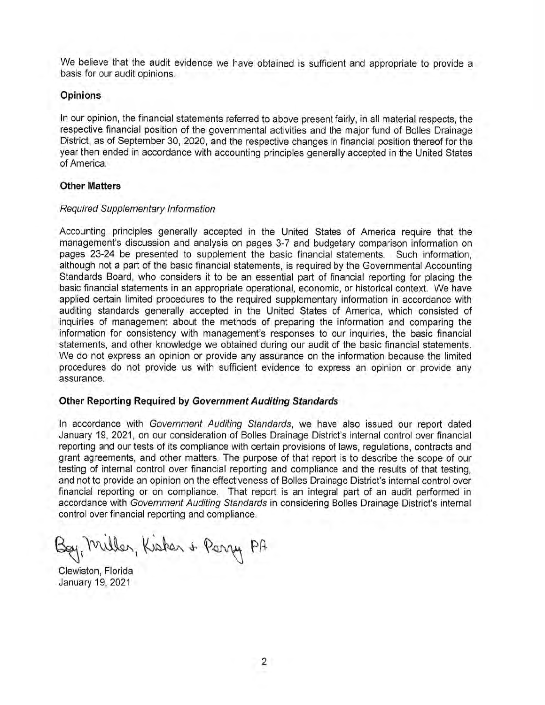We believe that the audit evidence we have obtained is sufficient and appropriate to provide a basis for our audit opinions.

## Opinions

In our opinion, the financial statements referred to above present fairly, in all material respects, the respective financial position of the governmental activities and the major fund of Bolles Drainage District, as of September 30, 2020, and the respective changes in financial position thereof for the year then ended in accordance with accounting principles generally accepted in the United States of America.

## **Other Matters**

## Required Supplementary Information

Accounting principles generally accepted in the United States of America require that the management's discussion and analysis on pages 3-7 and budgetary comparison information on pages 23-24 be presented to supplement the basic financial statements. Such information, although not a part of the basic financial statements, is required by the Governmental Accounting Standards Board, who considers it to be an essential part of financial reporting for placing the basic financial statements in an appropriate operational, economic, or historical context. We have applied certain limited procedures to the required supplementary information in accordance with auditing standards generally accepted in the United States of America, which consisted of inquiries of management about the methods of preparing the information and comparing the information for consistency with management's responses to our inquiries, the basic financial statements, and other knowledge we obtained during our audit of the basic financial statements. We do not express an opinion or provide any assurance on the information because the limited procedures do not provide us with sufficient evidence to express an opinion or provide any assurance.

## Other Reporting Required by Government Auditing Standards

In accordance with Government Auditing Standards, we have also issued our report dated January 19, 2021, on our consideration of Bolles Drainage District's internal control over financial reporting and our tests of its compliance with certain provisions of laws, regulations, contracts and grant agreements, and other matters. The purpose of that report is to describe the scope of our testing of internal control over financial reporting and compliance and the results of that testing, and not to provide an opinion on the effectiveness of Bolles Drainage District's internal control over financial reporting or on compliance. That report is an integral part of an audit performed in accordance with Government Auditing Standards in considering Bolles Drainage District's internal control over financial reporting and compliance.

Bay, Miller, Kisker & Perry PA

Clewiston, Florida January 19, 2021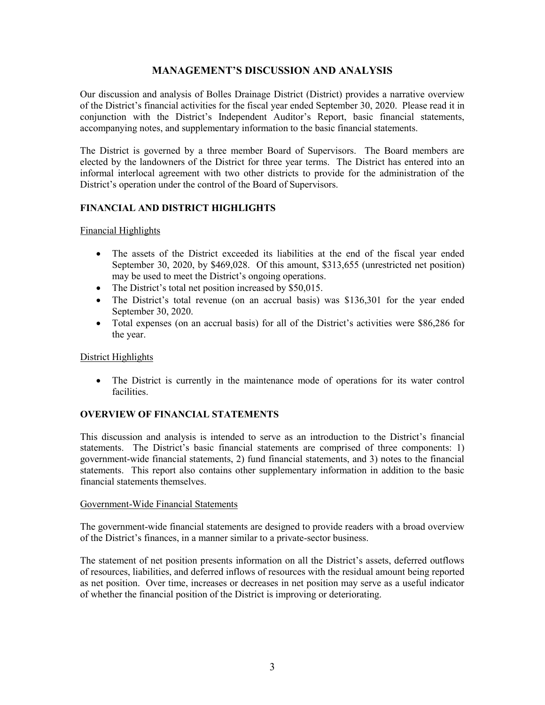## **MANAGEMENT'S DISCUSSION AND ANALYSIS**

Our discussion and analysis of Bolles Drainage District (District) provides a narrative overview of the District's financial activities for the fiscal year ended September 30, 2020. Please read it in conjunction with the District's Independent Auditor's Report, basic financial statements, accompanying notes, and supplementary information to the basic financial statements.

The District is governed by a three member Board of Supervisors. The Board members are elected by the landowners of the District for three year terms. The District has entered into an informal interlocal agreement with two other districts to provide for the administration of the District's operation under the control of the Board of Supervisors.

## **FINANCIAL AND DISTRICT HIGHLIGHTS**

Financial Highlights

- The assets of the District exceeded its liabilities at the end of the fiscal year ended September 30, 2020, by \$469,028. Of this amount, \$313,655 (unrestricted net position) may be used to meet the District's ongoing operations.
- The District's total net position increased by \$50,015.
- The District's total revenue (on an accrual basis) was \$136,301 for the year ended September 30, 2020.
- Total expenses (on an accrual basis) for all of the District's activities were \$86,286 for the year.

## District Highlights

 The District is currently in the maintenance mode of operations for its water control facilities.

## **OVERVIEW OF FINANCIAL STATEMENTS**

This discussion and analysis is intended to serve as an introduction to the District's financial statements. The District's basic financial statements are comprised of three components: 1) government-wide financial statements, 2) fund financial statements, and 3) notes to the financial statements. This report also contains other supplementary information in addition to the basic financial statements themselves.

#### Government-Wide Financial Statements

The government-wide financial statements are designed to provide readers with a broad overview of the District's finances, in a manner similar to a private-sector business.

The statement of net position presents information on all the District's assets, deferred outflows of resources, liabilities, and deferred inflows of resources with the residual amount being reported as net position. Over time, increases or decreases in net position may serve as a useful indicator of whether the financial position of the District is improving or deteriorating.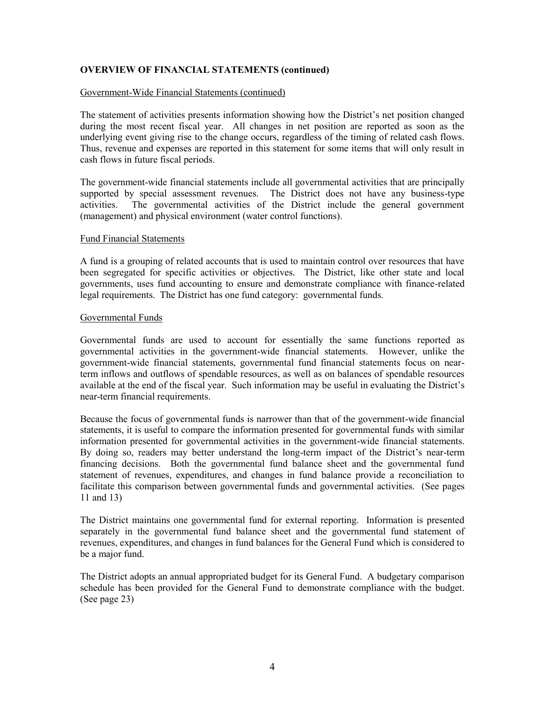## **OVERVIEW OF FINANCIAL STATEMENTS (continued)**

#### Government-Wide Financial Statements (continued)

The statement of activities presents information showing how the District's net position changed during the most recent fiscal year. All changes in net position are reported as soon as the underlying event giving rise to the change occurs, regardless of the timing of related cash flows. Thus, revenue and expenses are reported in this statement for some items that will only result in cash flows in future fiscal periods.

The government-wide financial statements include all governmental activities that are principally supported by special assessment revenues. The District does not have any business-type activities. The governmental activities of the District include the general government (management) and physical environment (water control functions).

#### Fund Financial Statements

A fund is a grouping of related accounts that is used to maintain control over resources that have been segregated for specific activities or objectives. The District, like other state and local governments, uses fund accounting to ensure and demonstrate compliance with finance-related legal requirements. The District has one fund category: governmental funds.

#### Governmental Funds

Governmental funds are used to account for essentially the same functions reported as governmental activities in the government-wide financial statements. However, unlike the government-wide financial statements, governmental fund financial statements focus on nearterm inflows and outflows of spendable resources, as well as on balances of spendable resources available at the end of the fiscal year. Such information may be useful in evaluating the District's near-term financial requirements.

Because the focus of governmental funds is narrower than that of the government-wide financial statements, it is useful to compare the information presented for governmental funds with similar information presented for governmental activities in the government-wide financial statements. By doing so, readers may better understand the long-term impact of the District's near-term financing decisions. Both the governmental fund balance sheet and the governmental fund statement of revenues, expenditures, and changes in fund balance provide a reconciliation to facilitate this comparison between governmental funds and governmental activities. (See pages 11 and 13)

The District maintains one governmental fund for external reporting. Information is presented separately in the governmental fund balance sheet and the governmental fund statement of revenues, expenditures, and changes in fund balances for the General Fund which is considered to be a major fund.

The District adopts an annual appropriated budget for its General Fund. A budgetary comparison schedule has been provided for the General Fund to demonstrate compliance with the budget. (See page 23)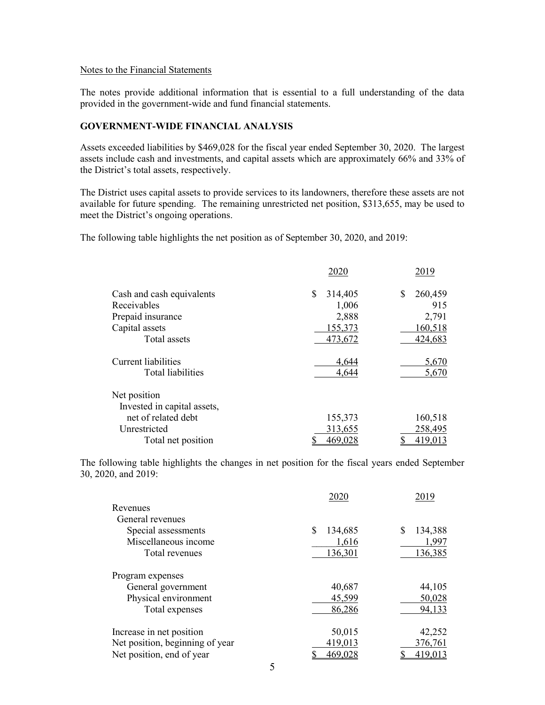#### Notes to the Financial Statements

The notes provide additional information that is essential to a full understanding of the data provided in the government-wide and fund financial statements.

#### **GOVERNMENT-WIDE FINANCIAL ANALYSIS**

Assets exceeded liabilities by \$469,028 for the fiscal year ended September 30, 2020. The largest assets include cash and investments, and capital assets which are approximately 66% and 33% of the District's total assets, respectively.

The District uses capital assets to provide services to its landowners, therefore these assets are not available for future spending. The remaining unrestricted net position, \$313,655, may be used to meet the District's ongoing operations.

The following table highlights the net position as of September 30, 2020, and 2019:

| 2020          | 2019         |
|---------------|--------------|
| \$<br>314,405 | 260,459<br>S |
| 1,006         | 915          |
| 2,888         | 2,791        |
| 155,373       | 160,518      |
| 473,672       | 424,683      |
| 4,644         | <u>5,670</u> |
| 4,644         | 5,670        |
|               |              |
|               |              |
| 155,373       | 160,518      |
| 313,655       | 258,495      |
| 469,028       | 419,013      |
|               |              |

The following table highlights the changes in net position for the fiscal years ended September 30, 2020, and 2019:

|                                 | 2020    | 2019    |
|---------------------------------|---------|---------|
| Revenues                        |         |         |
| General revenues                |         |         |
| Special assessments             | 134,685 | 134,388 |
| Miscellaneous income            | 1,616   | 1,997   |
| Total revenues                  | 136,301 | 136,385 |
| Program expenses                |         |         |
| General government              | 40,687  | 44,105  |
| Physical environment            | 45,599  | 50,028  |
| Total expenses                  | 86,286  | 94,133  |
| Increase in net position        | 50,015  | 42,252  |
| Net position, beginning of year | 419,013 | 376,761 |
| Net position, end of year       | 469,028 | 419,013 |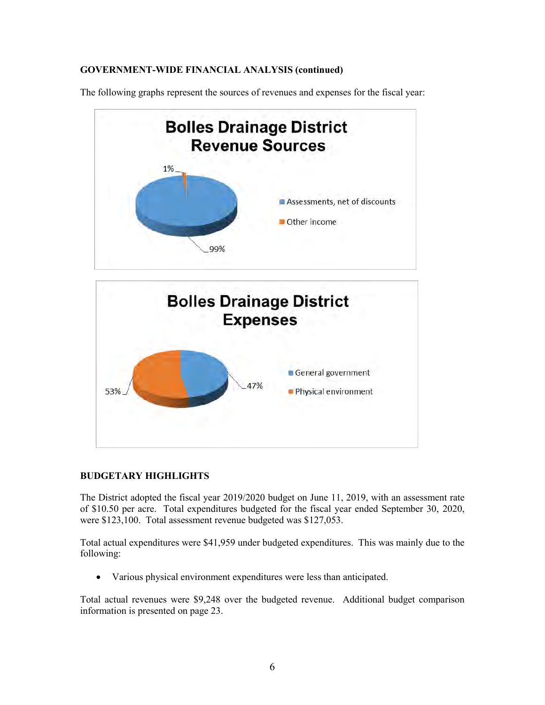## **GOVERNMENT-WIDE FINANCIAL ANALYSIS (continued)**

The following graphs represent the sources of revenues and expenses for the fiscal year:



## **BUDGETARY HIGHLIGHTS**

The District adopted the fiscal year 2019/2020 budget on June 11, 2019, with an assessment rate of \$10.50 per acre. Total expenditures budgeted for the fiscal year ended September 30, 2020, were \$123,100. Total assessment revenue budgeted was \$127,053.

Total actual expenditures were \$41,959 under budgeted expenditures. This was mainly due to the following:

Various physical environment expenditures were less than anticipated.

Total actual revenues were \$9,248 over the budgeted revenue. Additional budget comparison information is presented on page 23.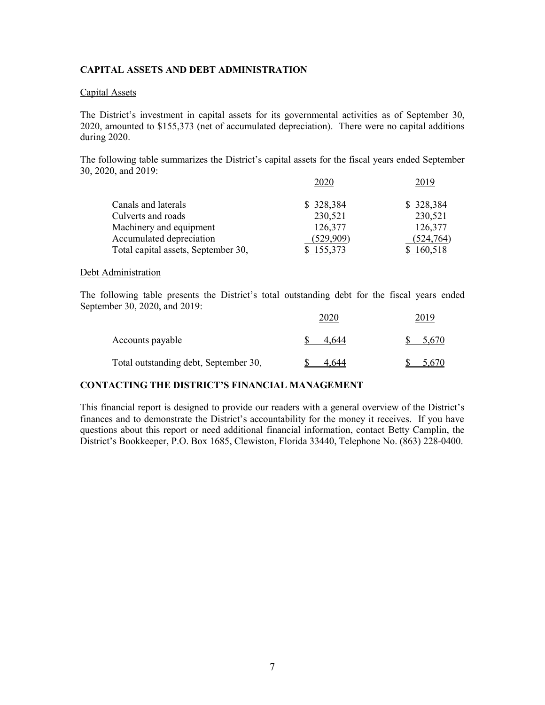## **CAPITAL ASSETS AND DEBT ADMINISTRATION**

#### Capital Assets

The District's investment in capital assets for its governmental activities as of September 30, 2020, amounted to \$155,373 (net of accumulated depreciation). There were no capital additions during 2020.

The following table summarizes the District's capital assets for the fiscal years ended September 30, 2020, and 2019:

|                                     | 2020      | 019        |
|-------------------------------------|-----------|------------|
| Canals and laterals                 | \$328,384 | \$328,384  |
| Culverts and roads                  | 230,521   | 230,521    |
| Machinery and equipment             | 126,377   | 126,377    |
| Accumulated depreciation            | (529,909) | (524, 764) |
| Total capital assets, September 30, | 155,373   | 160.518    |
|                                     |           |            |

#### Debt Administration

The following table presents the District's total outstanding debt for the fiscal years ended September 30, 2020, and 2019:

| Accounts payable                      | 4.644 | 5.670 |
|---------------------------------------|-------|-------|
| Total outstanding debt, September 30, | 4 644 |       |

## **CONTACTING THE DISTRICT'S FINANCIAL MANAGEMENT**

This financial report is designed to provide our readers with a general overview of the District's finances and to demonstrate the District's accountability for the money it receives. If you have questions about this report or need additional financial information, contact Betty Camplin, the District's Bookkeeper, P.O. Box 1685, Clewiston, Florida 33440, Telephone No. (863) 228-0400.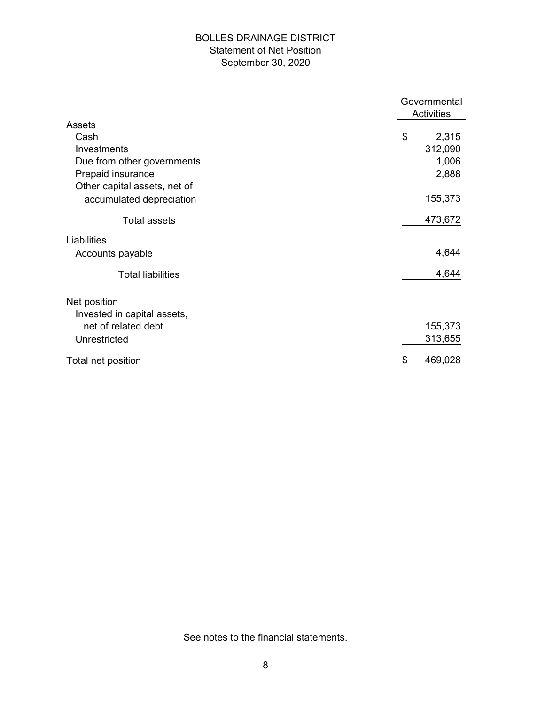# BOLLES DRAINAGE DISTRICT Statement of Net Position September 30, 2020

|                              | Governmental<br><b>Activities</b> |  |
|------------------------------|-----------------------------------|--|
| Assets                       |                                   |  |
| Cash                         | \$<br>2,315                       |  |
| Investments                  | 312,090                           |  |
| Due from other governments   | 1,006                             |  |
| Prepaid insurance            | 2,888                             |  |
| Other capital assets, net of |                                   |  |
| accumulated depreciation     | 155,373                           |  |
| <b>Total assets</b>          | 473,672                           |  |
| Liabilities                  |                                   |  |
| Accounts payable             | 4,644                             |  |
| <b>Total liabilities</b>     | 4,644                             |  |
| Net position                 |                                   |  |
| Invested in capital assets,  |                                   |  |
| net of related debt          | 155,373                           |  |
| Unrestricted                 | 313,655                           |  |
| Total net position           | \$<br>469,028                     |  |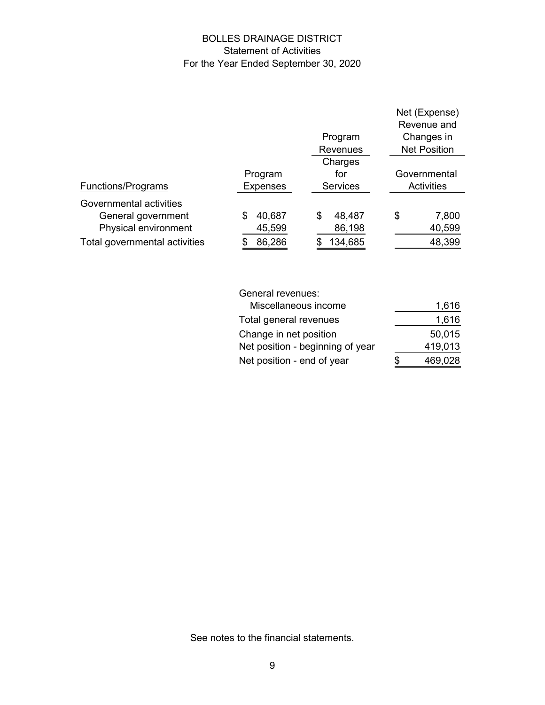# BOLLES DRAINAGE DISTRICT Statement of Activities For the Year Ended September 30, 2020

|                               |                 |                 | Net (Expense)       |
|-------------------------------|-----------------|-----------------|---------------------|
|                               |                 |                 | Revenue and         |
|                               |                 | Program         | Changes in          |
|                               |                 | <b>Revenues</b> | <b>Net Position</b> |
|                               |                 | Charges         |                     |
|                               | Program         | for             | Governmental        |
| Functions/Programs            | <b>Expenses</b> | <b>Services</b> | <b>Activities</b>   |
| Governmental activities       |                 |                 |                     |
| General government            | 40,687<br>\$    | \$<br>48,487    | \$<br>7,800         |
| Physical environment          | 45,599          | 86,198          | 40,599              |
| Total governmental activities | 86,286<br>\$    | 134,685<br>\$   | 48,399              |

| General revenues:                |   |         |
|----------------------------------|---|---------|
| Miscellaneous income             |   | 1,616   |
| Total general revenues           |   | 1,616   |
| Change in net position           |   | 50,015  |
| Net position - beginning of year |   | 419,013 |
| Net position - end of year       | S | 469,028 |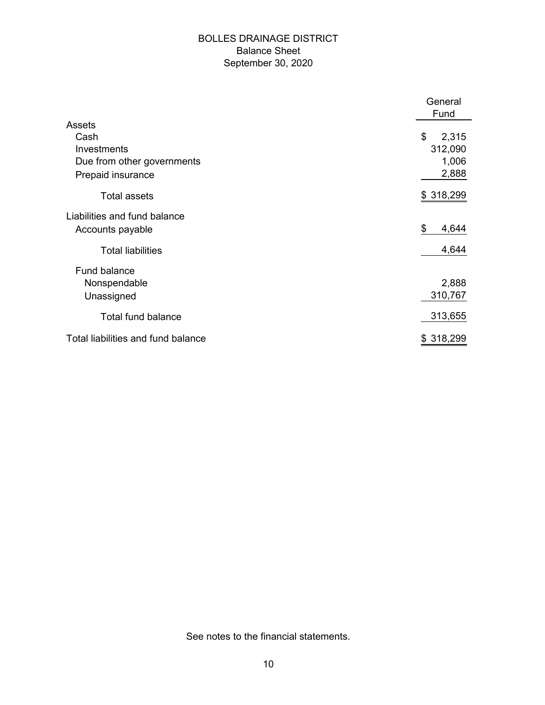# BOLLES DRAINAGE DISTRICT Balance Sheet September 30, 2020

|                                    | General       |
|------------------------------------|---------------|
|                                    | Fund          |
| Assets<br>Cash                     | \$            |
|                                    | 2,315         |
| Investments                        | 312,090       |
| Due from other governments         | 1,006         |
| Prepaid insurance                  | 2,888         |
| <b>Total assets</b>                | \$318,299     |
| Liabilities and fund balance       |               |
| Accounts payable                   | \$<br>4,644   |
| <b>Total liabilities</b>           | 4,644         |
| <b>Fund balance</b>                |               |
| Nonspendable                       | 2,888         |
| Unassigned                         | 310,767       |
| <b>Total fund balance</b>          | 313,655       |
| Total liabilities and fund balance | 318,299<br>\$ |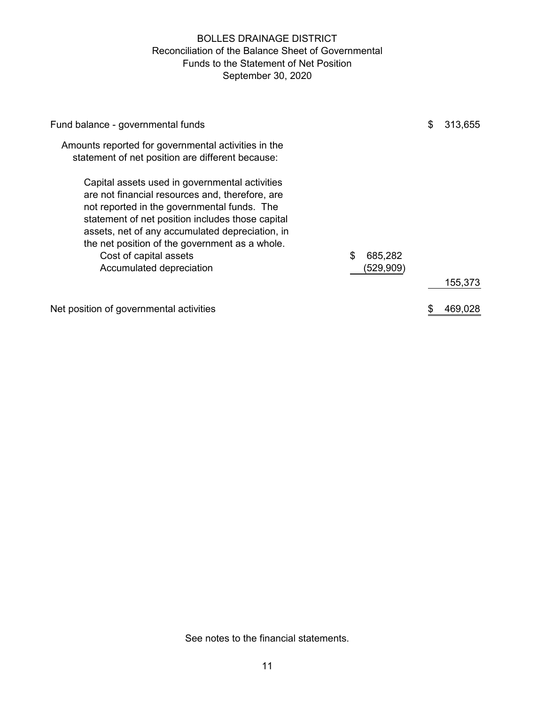# BOLLES DRAINAGE DISTRICT Reconciliation of the Balance Sheet of Governmental Funds to the Statement of Net Position September 30, 2020

| Fund balance - governmental funds                                                                                                                                                                                                                                                                                                                               |                            | \$<br>313,655 |
|-----------------------------------------------------------------------------------------------------------------------------------------------------------------------------------------------------------------------------------------------------------------------------------------------------------------------------------------------------------------|----------------------------|---------------|
| Amounts reported for governmental activities in the<br>statement of net position are different because:                                                                                                                                                                                                                                                         |                            |               |
| Capital assets used in governmental activities<br>are not financial resources and, therefore, are<br>not reported in the governmental funds. The<br>statement of net position includes those capital<br>assets, net of any accumulated depreciation, in<br>the net position of the government as a whole.<br>Cost of capital assets<br>Accumulated depreciation | \$<br>685,282<br>(529,909) | 155,373       |
| Net position of governmental activities                                                                                                                                                                                                                                                                                                                         |                            | 469.028       |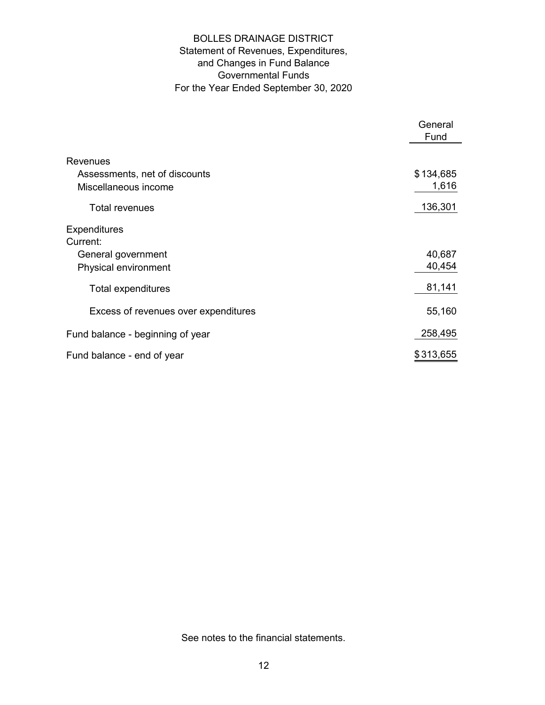# BOLLES DRAINAGE DISTRICT Statement of Revenues, Expenditures, and Changes in Fund Balance Governmental Funds For the Year Ended September 30, 2020

|                                      | General   |
|--------------------------------------|-----------|
|                                      | Fund      |
| Revenues                             |           |
| Assessments, net of discounts        | \$134,685 |
| Miscellaneous income                 | 1,616     |
| <b>Total revenues</b>                | 136,301   |
| <b>Expenditures</b>                  |           |
| Current:                             |           |
| General government                   | 40,687    |
| Physical environment                 | 40,454    |
| <b>Total expenditures</b>            | 81,141    |
| Excess of revenues over expenditures | 55,160    |
| Fund balance - beginning of year     | 258,495   |
| Fund balance - end of year           | \$313,655 |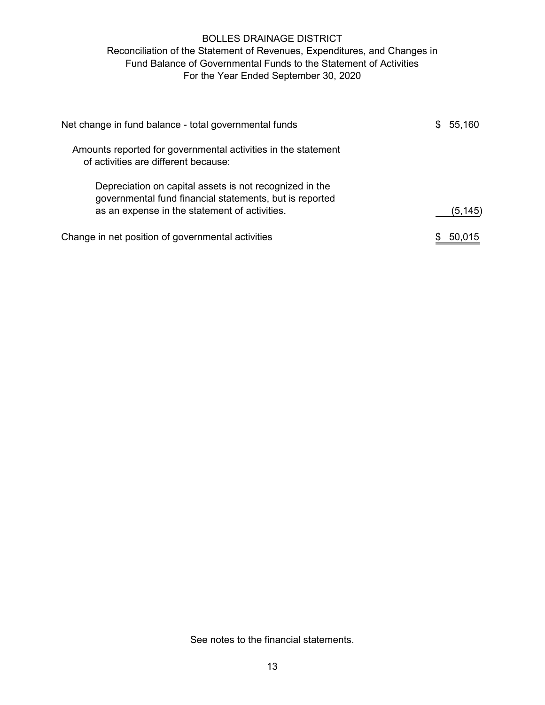## BOLLES DRAINAGE DISTRICT

# Reconciliation of the Statement of Revenues, Expenditures, and Changes in Fund Balance of Governmental Funds to the Statement of Activities For the Year Ended September 30, 2020

| Net change in fund balance - total governmental funds                                                                                                               | Ъ | 55.160   |
|---------------------------------------------------------------------------------------------------------------------------------------------------------------------|---|----------|
| Amounts reported for governmental activities in the statement<br>of activities are different because:                                                               |   |          |
| Depreciation on capital assets is not recognized in the<br>governmental fund financial statements, but is reported<br>as an expense in the statement of activities. |   | (5, 145) |
| Change in net position of governmental activities                                                                                                                   |   | 50,015   |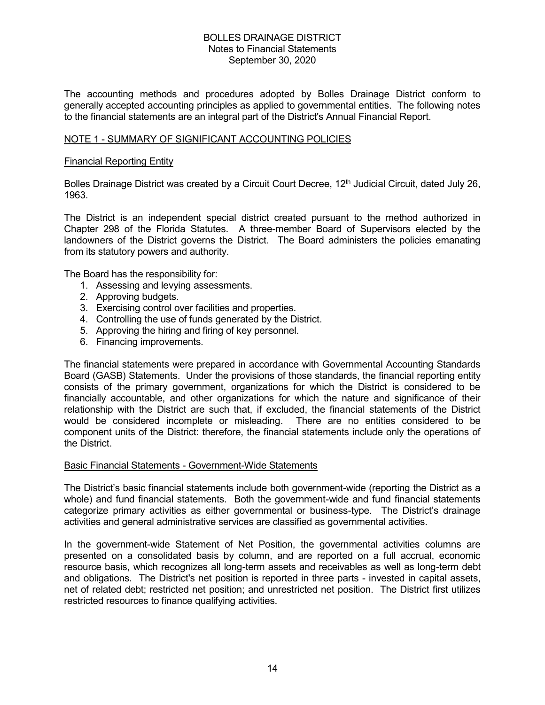The accounting methods and procedures adopted by Bolles Drainage District conform to generally accepted accounting principles as applied to governmental entities. The following notes to the financial statements are an integral part of the District's Annual Financial Report.

## NOTE 1 - SUMMARY OF SIGNIFICANT ACCOUNTING POLICIES

## Financial Reporting Entity

Bolles Drainage District was created by a Circuit Court Decree, 12<sup>th</sup> Judicial Circuit, dated July 26, 1963.

The District is an independent special district created pursuant to the method authorized in Chapter 298 of the Florida Statutes. A three-member Board of Supervisors elected by the landowners of the District governs the District. The Board administers the policies emanating from its statutory powers and authority.

The Board has the responsibility for:

- 1. Assessing and levying assessments.
- 2. Approving budgets.
- 3. Exercising control over facilities and properties.
- 4. Controlling the use of funds generated by the District.
- 5. Approving the hiring and firing of key personnel.
- 6. Financing improvements.

The financial statements were prepared in accordance with Governmental Accounting Standards Board (GASB) Statements. Under the provisions of those standards, the financial reporting entity consists of the primary government, organizations for which the District is considered to be financially accountable, and other organizations for which the nature and significance of their relationship with the District are such that, if excluded, the financial statements of the District would be considered incomplete or misleading. There are no entities considered to be component units of the District: therefore, the financial statements include only the operations of the District.

## Basic Financial Statements - Government-Wide Statements

The District's basic financial statements include both government-wide (reporting the District as a whole) and fund financial statements. Both the government-wide and fund financial statements categorize primary activities as either governmental or business-type. The District's drainage activities and general administrative services are classified as governmental activities.

In the government-wide Statement of Net Position, the governmental activities columns are presented on a consolidated basis by column, and are reported on a full accrual, economic resource basis, which recognizes all long-term assets and receivables as well as long-term debt and obligations. The District's net position is reported in three parts - invested in capital assets, net of related debt; restricted net position; and unrestricted net position. The District first utilizes restricted resources to finance qualifying activities.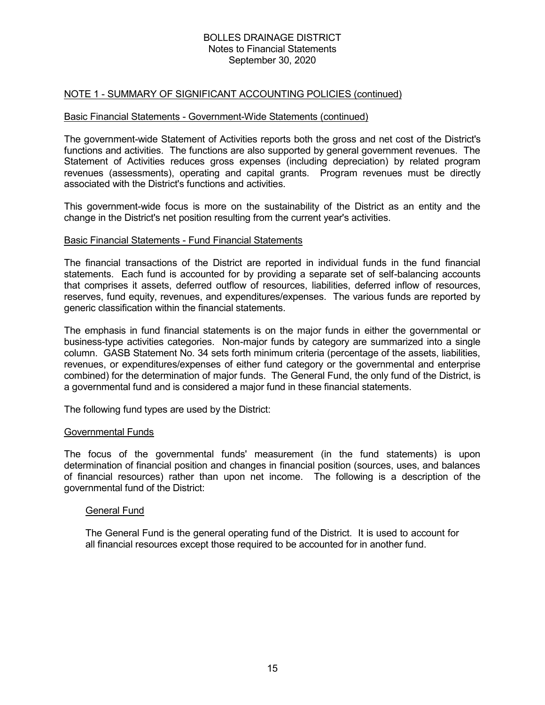## NOTE 1 - SUMMARY OF SIGNIFICANT ACCOUNTING POLICIES (continued)

#### Basic Financial Statements - Government-Wide Statements (continued)

The government-wide Statement of Activities reports both the gross and net cost of the District's functions and activities. The functions are also supported by general government revenues. The Statement of Activities reduces gross expenses (including depreciation) by related program revenues (assessments), operating and capital grants. Program revenues must be directly associated with the District's functions and activities.

This government-wide focus is more on the sustainability of the District as an entity and the change in the District's net position resulting from the current year's activities.

#### Basic Financial Statements - Fund Financial Statements

The financial transactions of the District are reported in individual funds in the fund financial statements. Each fund is accounted for by providing a separate set of self-balancing accounts that comprises it assets, deferred outflow of resources, liabilities, deferred inflow of resources, reserves, fund equity, revenues, and expenditures/expenses. The various funds are reported by generic classification within the financial statements.

The emphasis in fund financial statements is on the major funds in either the governmental or business-type activities categories. Non-major funds by category are summarized into a single column. GASB Statement No. 34 sets forth minimum criteria (percentage of the assets, liabilities, revenues, or expenditures/expenses of either fund category or the governmental and enterprise combined) for the determination of major funds. The General Fund, the only fund of the District, is a governmental fund and is considered a major fund in these financial statements.

The following fund types are used by the District:

#### Governmental Funds

The focus of the governmental funds' measurement (in the fund statements) is upon determination of financial position and changes in financial position (sources, uses, and balances of financial resources) rather than upon net income. The following is a description of the governmental fund of the District:

#### General Fund

 The General Fund is the general operating fund of the District. It is used to account for all financial resources except those required to be accounted for in another fund.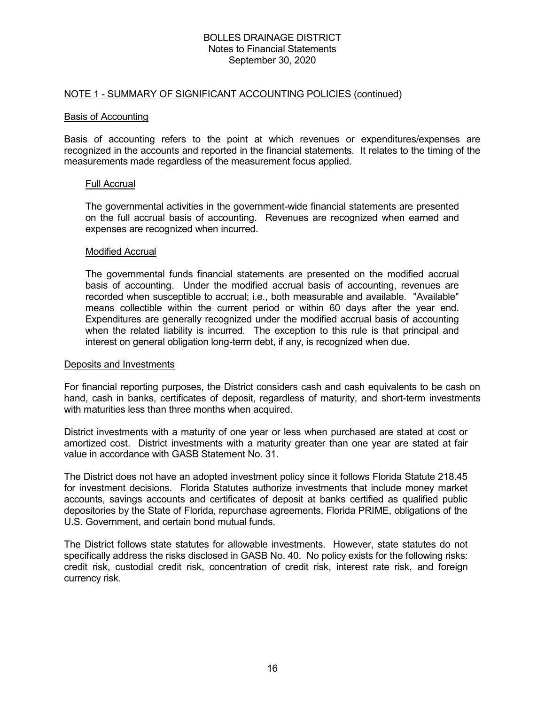#### NOTE 1 - SUMMARY OF SIGNIFICANT ACCOUNTING POLICIES (continued)

#### Basis of Accounting

Basis of accounting refers to the point at which revenues or expenditures/expenses are recognized in the accounts and reported in the financial statements. It relates to the timing of the measurements made regardless of the measurement focus applied.

#### Full Accrual

 The governmental activities in the government-wide financial statements are presented on the full accrual basis of accounting. Revenues are recognized when earned and expenses are recognized when incurred.

#### Modified Accrual

 The governmental funds financial statements are presented on the modified accrual basis of accounting. Under the modified accrual basis of accounting, revenues are recorded when susceptible to accrual; i.e., both measurable and available. "Available" means collectible within the current period or within 60 days after the year end. Expenditures are generally recognized under the modified accrual basis of accounting when the related liability is incurred. The exception to this rule is that principal and interest on general obligation long-term debt, if any, is recognized when due.

#### Deposits and Investments

For financial reporting purposes, the District considers cash and cash equivalents to be cash on hand, cash in banks, certificates of deposit, regardless of maturity, and short-term investments with maturities less than three months when acquired.

District investments with a maturity of one year or less when purchased are stated at cost or amortized cost. District investments with a maturity greater than one year are stated at fair value in accordance with GASB Statement No. 31.

The District does not have an adopted investment policy since it follows Florida Statute 218.45 for investment decisions. Florida Statutes authorize investments that include money market accounts, savings accounts and certificates of deposit at banks certified as qualified public depositories by the State of Florida, repurchase agreements, Florida PRIME, obligations of the U.S. Government, and certain bond mutual funds.

The District follows state statutes for allowable investments. However, state statutes do not specifically address the risks disclosed in GASB No. 40. No policy exists for the following risks: credit risk, custodial credit risk, concentration of credit risk, interest rate risk, and foreign currency risk.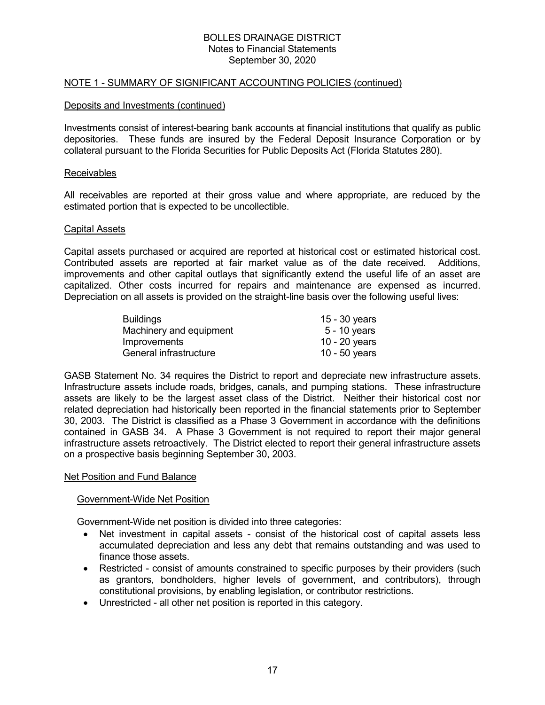## NOTE 1 - SUMMARY OF SIGNIFICANT ACCOUNTING POLICIES (continued)

#### Deposits and Investments (continued)

Investments consist of interest-bearing bank accounts at financial institutions that qualify as public depositories. These funds are insured by the Federal Deposit Insurance Corporation or by collateral pursuant to the Florida Securities for Public Deposits Act (Florida Statutes 280).

#### Receivables

All receivables are reported at their gross value and where appropriate, are reduced by the estimated portion that is expected to be uncollectible.

#### Capital Assets

Capital assets purchased or acquired are reported at historical cost or estimated historical cost. Contributed assets are reported at fair market value as of the date received. Additions, improvements and other capital outlays that significantly extend the useful life of an asset are capitalized. Other costs incurred for repairs and maintenance are expensed as incurred. Depreciation on all assets is provided on the straight-line basis over the following useful lives:

| Buildings               | 15 - 30 years  |
|-------------------------|----------------|
| Machinery and equipment | $5 - 10$ years |
| Improvements            | 10 - 20 years  |
| General infrastructure  | 10 - 50 years  |

GASB Statement No. 34 requires the District to report and depreciate new infrastructure assets. Infrastructure assets include roads, bridges, canals, and pumping stations. These infrastructure assets are likely to be the largest asset class of the District. Neither their historical cost nor related depreciation had historically been reported in the financial statements prior to September 30, 2003. The District is classified as a Phase 3 Government in accordance with the definitions contained in GASB 34. A Phase 3 Government is not required to report their major general infrastructure assets retroactively. The District elected to report their general infrastructure assets on a prospective basis beginning September 30, 2003.

## Net Position and Fund Balance

## Government-Wide Net Position

Government-Wide net position is divided into three categories:

- Net investment in capital assets consist of the historical cost of capital assets less accumulated depreciation and less any debt that remains outstanding and was used to finance those assets.
- Restricted consist of amounts constrained to specific purposes by their providers (such as grantors, bondholders, higher levels of government, and contributors), through constitutional provisions, by enabling legislation, or contributor restrictions.
- Unrestricted all other net position is reported in this category.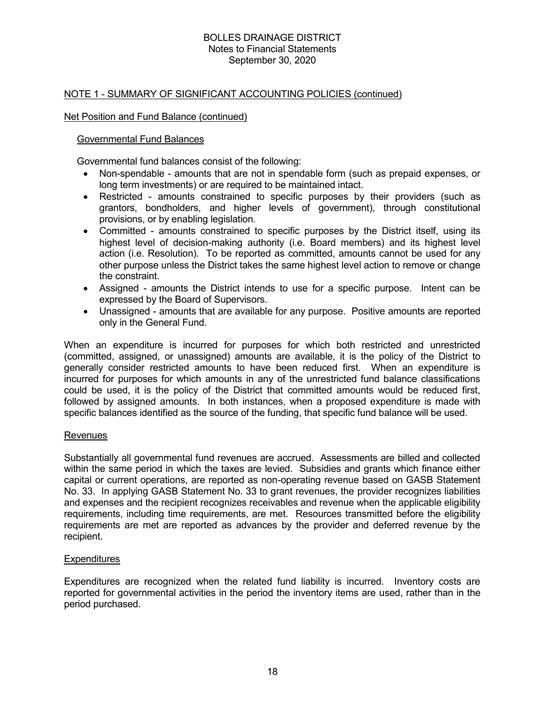## NOTE 1 - SUMMARY OF SIGNIFICANT ACCOUNTING POLICIES (continued)

## Net Position and Fund Balance (continued)

## Governmental Fund Balances

Governmental fund balances consist of the following:

- Non-spendable amounts that are not in spendable form (such as prepaid expenses, or long term investments) or are required to be maintained intact.
- Restricted amounts constrained to specific purposes by their providers (such as grantors, bondholders, and higher levels of government), through constitutional provisions, or by enabling legislation.
- Committed amounts constrained to specific purposes by the District itself, using its highest level of decision-making authority (i.e. Board members) and its highest level action (i.e. Resolution). To be reported as committed, amounts cannot be used for any other purpose unless the District takes the same highest level action to remove or change the constraint.
- Assigned amounts the District intends to use for a specific purpose. Intent can be expressed by the Board of Supervisors.
- Unassigned amounts that are available for any purpose. Positive amounts are reported only in the General Fund.

When an expenditure is incurred for purposes for which both restricted and unrestricted (committed, assigned, or unassigned) amounts are available, it is the policy of the District to generally consider restricted amounts to have been reduced first. When an expenditure is incurred for purposes for which amounts in any of the unrestricted fund balance classifications could be used, it is the policy of the District that committed amounts would be reduced first, followed by assigned amounts. In both instances, when a proposed expenditure is made with specific balances identified as the source of the funding, that specific fund balance will be used.

#### Revenues

Substantially all governmental fund revenues are accrued. Assessments are billed and collected within the same period in which the taxes are levied. Subsidies and grants which finance either capital or current operations, are reported as non-operating revenue based on GASB Statement No. 33. In applying GASB Statement No. 33 to grant revenues, the provider recognizes liabilities and expenses and the recipient recognizes receivables and revenue when the applicable eligibility requirements, including time requirements, are met. Resources transmitted before the eligibility requirements are met are reported as advances by the provider and deferred revenue by the recipient.

## **Expenditures**

Expenditures are recognized when the related fund liability is incurred. Inventory costs are reported for governmental activities in the period the inventory items are used, rather than in the period purchased.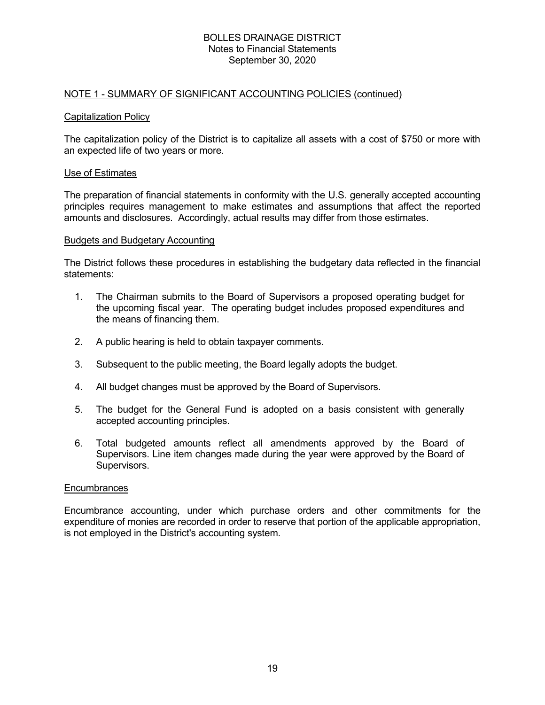## NOTE 1 - SUMMARY OF SIGNIFICANT ACCOUNTING POLICIES (continued)

#### Capitalization Policy

The capitalization policy of the District is to capitalize all assets with a cost of \$750 or more with an expected life of two years or more.

#### Use of Estimates

The preparation of financial statements in conformity with the U.S. generally accepted accounting principles requires management to make estimates and assumptions that affect the reported amounts and disclosures. Accordingly, actual results may differ from those estimates.

#### Budgets and Budgetary Accounting

The District follows these procedures in establishing the budgetary data reflected in the financial statements:

- 1. The Chairman submits to the Board of Supervisors a proposed operating budget for the upcoming fiscal year. The operating budget includes proposed expenditures and the means of financing them.
- 2. A public hearing is held to obtain taxpayer comments.
- 3. Subsequent to the public meeting, the Board legally adopts the budget.
- 4. All budget changes must be approved by the Board of Supervisors.
- 5. The budget for the General Fund is adopted on a basis consistent with generally accepted accounting principles.
- 6. Total budgeted amounts reflect all amendments approved by the Board of Supervisors. Line item changes made during the year were approved by the Board of Supervisors.

#### **Encumbrances**

Encumbrance accounting, under which purchase orders and other commitments for the expenditure of monies are recorded in order to reserve that portion of the applicable appropriation, is not employed in the District's accounting system.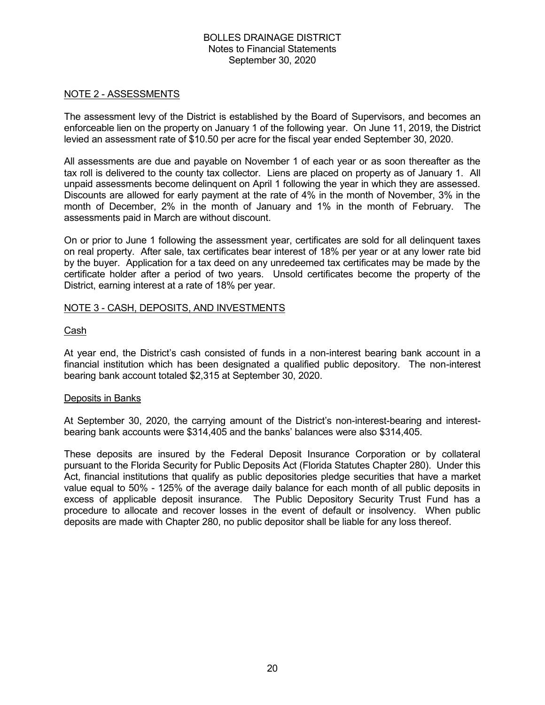## NOTE 2 - ASSESSMENTS

The assessment levy of the District is established by the Board of Supervisors, and becomes an enforceable lien on the property on January 1 of the following year. On June 11, 2019, the District levied an assessment rate of \$10.50 per acre for the fiscal year ended September 30, 2020.

All assessments are due and payable on November 1 of each year or as soon thereafter as the tax roll is delivered to the county tax collector. Liens are placed on property as of January 1. All unpaid assessments become delinquent on April 1 following the year in which they are assessed. Discounts are allowed for early payment at the rate of 4% in the month of November, 3% in the month of December, 2% in the month of January and 1% in the month of February. The assessments paid in March are without discount.

On or prior to June 1 following the assessment year, certificates are sold for all delinquent taxes on real property. After sale, tax certificates bear interest of 18% per year or at any lower rate bid by the buyer. Application for a tax deed on any unredeemed tax certificates may be made by the certificate holder after a period of two years. Unsold certificates become the property of the District, earning interest at a rate of 18% per year.

## NOTE 3 - CASH, DEPOSITS, AND INVESTMENTS

## Cash

At year end, the District's cash consisted of funds in a non-interest bearing bank account in a financial institution which has been designated a qualified public depository. The non-interest bearing bank account totaled \$2,315 at September 30, 2020.

## Deposits in Banks

At September 30, 2020, the carrying amount of the District's non-interest-bearing and interestbearing bank accounts were \$314,405 and the banks' balances were also \$314,405.

These deposits are insured by the Federal Deposit Insurance Corporation or by collateral pursuant to the Florida Security for Public Deposits Act (Florida Statutes Chapter 280). Under this Act, financial institutions that qualify as public depositories pledge securities that have a market value equal to 50% - 125% of the average daily balance for each month of all public deposits in excess of applicable deposit insurance. The Public Depository Security Trust Fund has a procedure to allocate and recover losses in the event of default or insolvency. When public deposits are made with Chapter 280, no public depositor shall be liable for any loss thereof.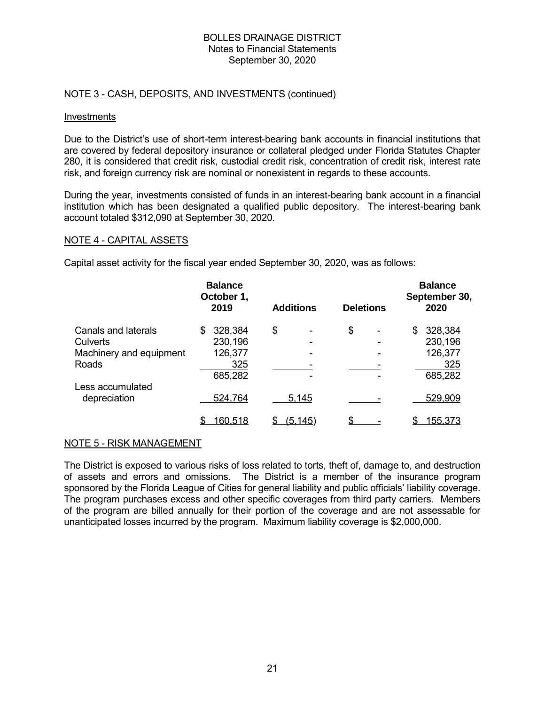## NOTE 3 - CASH, DEPOSITS, AND INVESTMENTS (continued)

#### Investments

Due to the District's use of short-term interest-bearing bank accounts in financial institutions that are covered by federal depository insurance or collateral pledged under Florida Statutes Chapter 280, it is considered that credit risk, custodial credit risk, concentration of credit risk, interest rate risk, and foreign currency risk are nominal or nonexistent in regards to these accounts.

During the year, investments consisted of funds in an interest-bearing bank account in a financial institution which has been designated a qualified public depository. The interest-bearing bank account totaled \$312,090 at September 30, 2020.

#### NOTE 4 - CAPITAL ASSETS

Capital asset activity for the fiscal year ended September 30, 2020, was as follows:

|                         |     | <b>Balance</b><br>October 1,<br>2019 | <b>Additions</b> | <b>Deletions</b> | <b>Balance</b><br>September 30,<br>2020 |
|-------------------------|-----|--------------------------------------|------------------|------------------|-----------------------------------------|
| Canals and laterals     | \$. | 328,384                              | \$               | \$               | \$<br>328,384                           |
| Culverts                |     | 230,196                              |                  |                  | 230,196                                 |
| Machinery and equipment |     | 126,377                              |                  |                  | 126,377                                 |
| Roads                   |     | 325<br>685,282                       |                  |                  | 325<br>685,282                          |
| Less accumulated        |     |                                      |                  |                  |                                         |
| depreciation            |     | 524,764                              | 5,145            |                  | 529,909                                 |
|                         |     | <u>160.518</u>                       | (5, 145)         |                  | <u>155,373</u>                          |

#### NOTE 5 - RISK MANAGEMENT

The District is exposed to various risks of loss related to torts, theft of, damage to, and destruction of assets and errors and omissions. The District is a member of the insurance program sponsored by the Florida League of Cities for general liability and public officials' liability coverage. The program purchases excess and other specific coverages from third party carriers. Members of the program are billed annually for their portion of the coverage and are not assessable for unanticipated losses incurred by the program. Maximum liability coverage is \$2,000,000.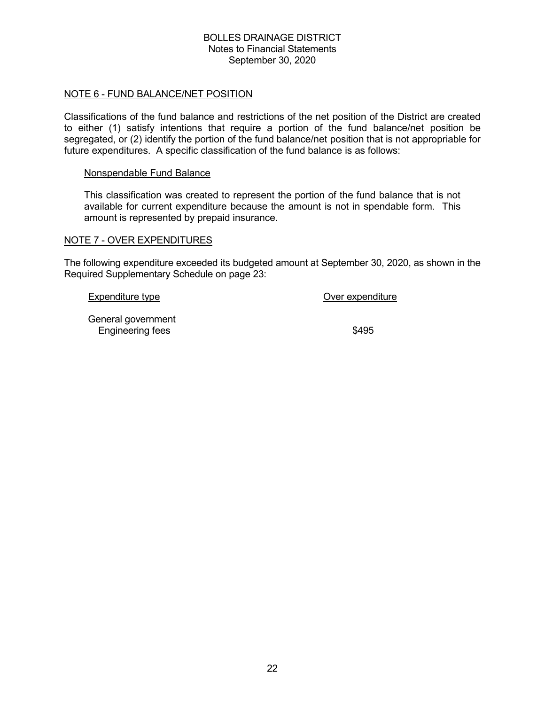## NOTE 6 - FUND BALANCE/NET POSITION

Classifications of the fund balance and restrictions of the net position of the District are created to either (1) satisfy intentions that require a portion of the fund balance/net position be segregated, or (2) identify the portion of the fund balance/net position that is not appropriable for future expenditures. A specific classification of the fund balance is as follows:

## Nonspendable Fund Balance

This classification was created to represent the portion of the fund balance that is not available for current expenditure because the amount is not in spendable form. This amount is represented by prepaid insurance.

## NOTE 7 - OVER EXPENDITURES

The following expenditure exceeded its budgeted amount at September 30, 2020, as shown in the Required Supplementary Schedule on page 23:

#### Expenditure type **Expenditure** type **COVE**

 General government Engineering fees \$495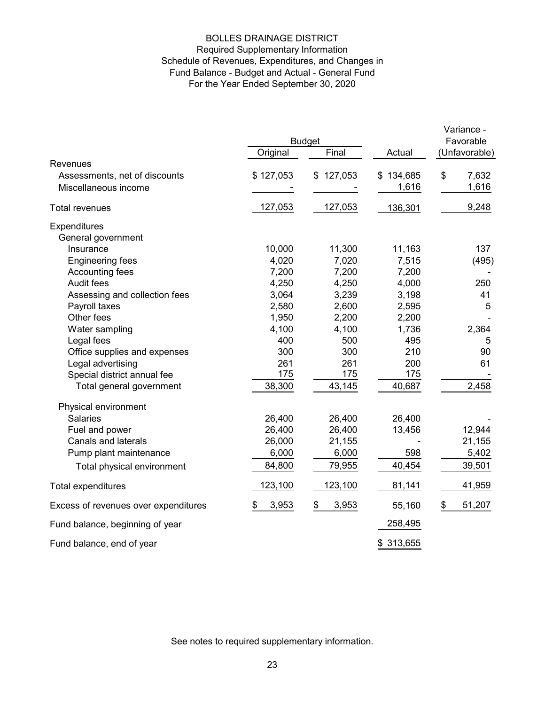## For the Year Ended September 30, 2020 BOLLES DRAINAGE DISTRICT Schedule of Revenues, Expenditures, and Changes in Fund Balance - Budget and Actual - General Fund Required Supplementary Information

|                                      |             | <b>Budget</b> |           | Variance -<br>Favorable |  |
|--------------------------------------|-------------|---------------|-----------|-------------------------|--|
|                                      | Original    | Final         | Actual    | (Unfavorable)           |  |
| Revenues                             |             |               |           |                         |  |
| Assessments, net of discounts        | \$127,053   | \$127,053     | \$134,685 | \$<br>7,632             |  |
| Miscellaneous income                 |             |               | 1,616     | 1,616                   |  |
| Total revenues                       | 127,053     | 127,053       | 136,301   | 9,248                   |  |
| Expenditures                         |             |               |           |                         |  |
| General government                   |             |               |           |                         |  |
| Insurance                            | 10,000      | 11,300        | 11,163    | 137                     |  |
| <b>Engineering fees</b>              | 4,020       | 7,020         | 7,515     | (495)                   |  |
| Accounting fees                      | 7,200       | 7,200         | 7,200     |                         |  |
| Audit fees                           | 4,250       | 4,250         | 4,000     | 250                     |  |
| Assessing and collection fees        | 3,064       | 3,239         | 3,198     | 41                      |  |
| Payroll taxes                        | 2,580       | 2,600         | 2,595     | 5                       |  |
| Other fees                           | 1,950       | 2,200         | 2,200     |                         |  |
| Water sampling                       | 4,100       | 4,100         | 1,736     | 2,364                   |  |
| Legal fees                           | 400         | 500           | 495       | 5                       |  |
| Office supplies and expenses         | 300         | 300           | 210       | 90                      |  |
| Legal advertising                    | 261         | 261           | 200       | 61                      |  |
| Special district annual fee          | 175         | 175           | 175       |                         |  |
| Total general government             | 38,300      | 43,145        | 40,687    | 2,458                   |  |
| Physical environment                 |             |               |           |                         |  |
| <b>Salaries</b>                      | 26,400      | 26,400        | 26,400    |                         |  |
| Fuel and power                       | 26,400      | 26,400        | 13,456    | 12,944                  |  |
| Canals and laterals                  | 26,000      | 21,155        |           | 21,155                  |  |
| Pump plant maintenance               | 6,000       | 6,000         | 598       | 5,402                   |  |
| Total physical environment           | 84,800      | 79,955        | 40,454    | 39,501                  |  |
| Total expenditures                   | 123,100     | 123,100       | 81,141    | 41,959                  |  |
| Excess of revenues over expenditures | 3,953<br>\$ | \$<br>3,953   | 55,160    | \$<br>51,207            |  |
| Fund balance, beginning of year      |             |               | 258,495   |                         |  |
| Fund balance, end of year            |             |               | \$313,655 |                         |  |

See notes to required supplementary information.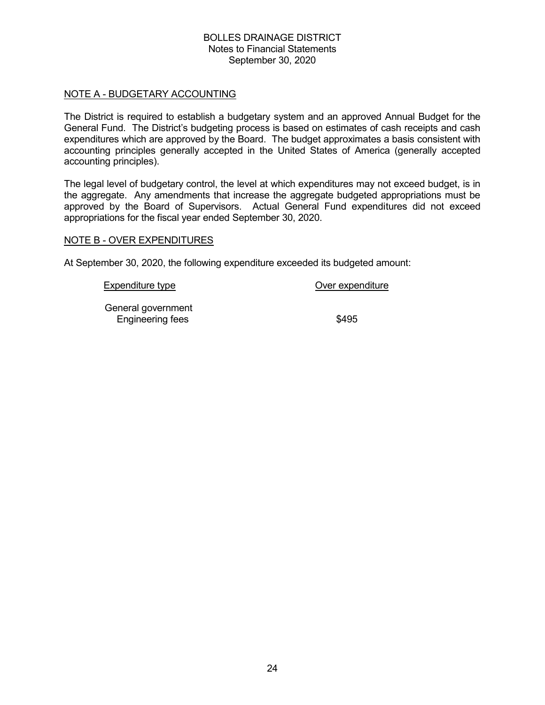## NOTE A - BUDGETARY ACCOUNTING

The District is required to establish a budgetary system and an approved Annual Budget for the General Fund. The District's budgeting process is based on estimates of cash receipts and cash expenditures which are approved by the Board. The budget approximates a basis consistent with accounting principles generally accepted in the United States of America (generally accepted accounting principles).

The legal level of budgetary control, the level at which expenditures may not exceed budget, is in the aggregate. Any amendments that increase the aggregate budgeted appropriations must be approved by the Board of Supervisors. Actual General Fund expenditures did not exceed appropriations for the fiscal year ended September 30, 2020.

#### NOTE B - OVER EXPENDITURES

At September 30, 2020, the following expenditure exceeded its budgeted amount:

#### Expenditure type **Expenditure** over expenditure

 General government Engineering fees \$495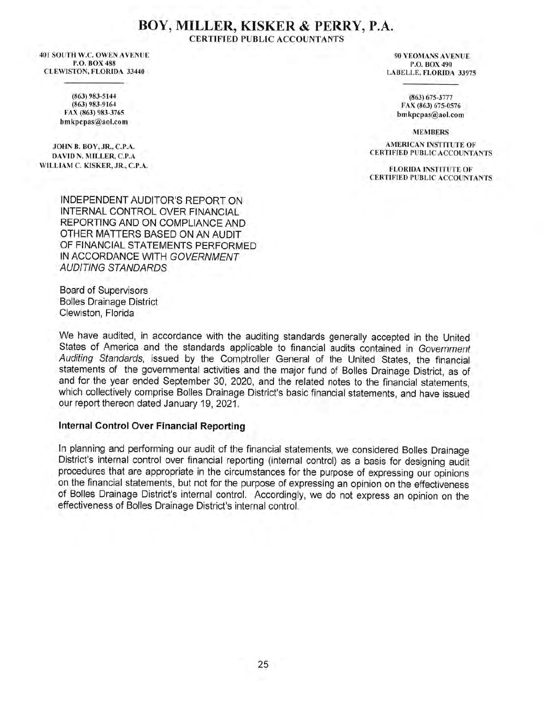## BOY, MILLER, KISKER & PERRY, P.A. **CERTIFIED PUBLIC ACCOUNTANTS**

401 SOUTH W.C. OWEN AVENUE P.O. BOX 488 **CLEWISTON, FLORIDA 33440** 

> (863) 983-5144  $(863)$  983-9164 FAX (863) 983-3765 bmkpcpas@aol.com

JOHN B. BOY, JR., C.P.A. DAVID N. MILLER, C.P.A WILLIAM C. KISKER, JR., C.P.A.

**90 YEOMANS AVENUE** P.O. BOX 490 **LABELLE, FLORIDA 33975** 

(863) 675-3777 FAX (863) 675-0576 bmkpcpas@aol.com

**MEMBERS AMERICAN INSTITUTE OF CERTIFIED PUBLIC ACCOUNTANTS** 

**FLORIDA INSTITUTE OF CERTIFIED PUBLIC ACCOUNTANTS** 

INDEPENDENT AUDITOR'S REPORT ON INTERNAL CONTROL OVER FINANCIAL REPORTING AND ON COMPLIANCE AND OTHER MATTERS BASED ON AN AUDIT OF FINANCIAL STATEMENTS PERFORMED IN ACCORDANCE WITH GOVERNMENT **AUDITING STANDARDS** 

**Board of Supervisors Bolles Drainage District** Clewiston, Florida

We have audited, in accordance with the auditing standards generally accepted in the United States of America and the standards applicable to financial audits contained in Government Auditing Standards, issued by the Comptroller General of the United States, the financial statements of the governmental activities and the major fund of Bolles Drainage District, as of and for the year ended September 30, 2020, and the related notes to the financial statements, which collectively comprise Bolles Drainage District's basic financial statements, and have issued our report thereon dated January 19, 2021.

#### Internal Control Over Financial Reporting

In planning and performing our audit of the financial statements, we considered Bolles Drainage District's internal control over financial reporting (internal control) as a basis for designing audit procedures that are appropriate in the circumstances for the purpose of expressing our opinions on the financial statements, but not for the purpose of expressing an opinion on the effectiveness of Bolles Drainage District's internal control. Accordingly, we do not express an opinion on the effectiveness of Bolles Drainage District's internal control.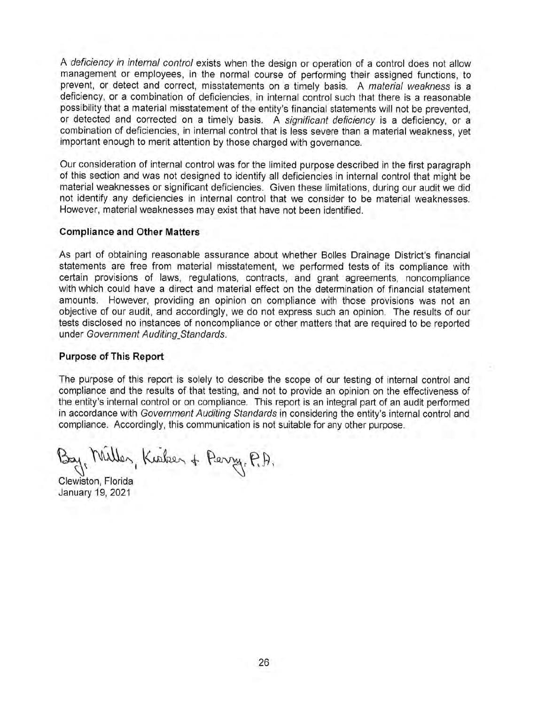A deficiency in internal control exists when the design or operation of a control does not allow management or employees, in the normal course of performing their assigned functions, to prevent, or detect and correct, misstatements on a timely basis. A material weakness is a deficiency, or a combination of deficiencies, in internal control such that there is a reasonable possibility that a material misstatement of the entity's financial statements will not be prevented, or detected and corrected on a timely basis. A significant deficiency is a deficiency, or a combination of deficiencies, in internal control that is less severe than a material weakness, yet important enough to merit attention by those charged with governance.

Our consideration of internal control was for the limited purpose described in the first paragraph of this section and was not designed to identify all deficiencies in internal control that might be material weaknesses or significant deficiencies. Given these limitations, during our audit we did not identify any deficiencies in internal control that we consider to be material weaknesses. However, material weaknesses may exist that have not been identified.

## **Compliance and Other Matters**

As part of obtaining reasonable assurance about whether Bolles Drainage District's financial statements are free from material misstatement, we performed tests of its compliance with certain provisions of laws, regulations, contracts, and grant agreements, noncompliance with which could have a direct and material effect on the determination of financial statement amounts. However, providing an opinion on compliance with those provisions was not an objective of our audit, and accordingly, we do not express such an opinion. The results of our tests disclosed no instances of noncompliance or other matters that are required to be reported under Government Auditing Standards.

## **Purpose of This Report**

The purpose of this report is solely to describe the scope of our testing of internal control and compliance and the results of that testing, and not to provide an opinion on the effectiveness of the entity's internal control or on compliance. This report is an integral part of an audit performed in accordance with Government Auditing Standards in considering the entity's internal control and compliance. Accordingly, this communication is not suitable for any other purpose.

Bay, Miller, Kusker & Perry, P.A.

Clewiston, Florida January 19, 2021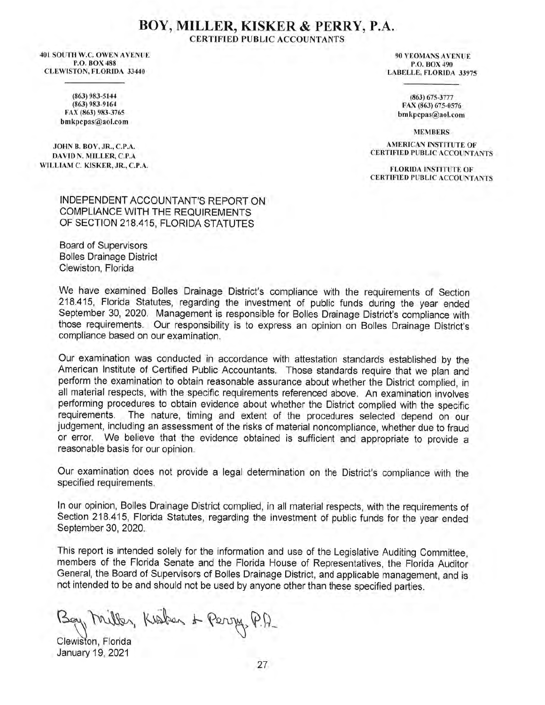#### BOY, MILLER, KISKER & PERRY, P.A. **CERTIFIED PUBLIC ACCOUNTANTS**

401 SOUTH W.C. OWEN AVENUE P.O. BOX 488 **CLEWISTON, FLORIDA 33440** 

> $(863)$  983-5144  $(863)$  983-9164 FAX (863) 983-3765 bmkpcpas@aol.com

JOHN B. BOY, JR., C.P.A. DAVID N. MILLER, C.P.A WILLIAM C. KISKER, JR., C.P.A.

**90 YEOMANS AVENUE** P.O. BOX 490 **LABELLE, FLORIDA 33975** 

> (863) 675-3777 FAX (863) 675-0576  $bmkpcpas@aol.com$

**MEMBERS AMERICAN INSTITUTE OF CERTIFIED PUBLIC ACCOUNTANTS** 

**FLORIDA INSTITUTE OF** CERTIFIED PUBLIC ACCOUNTANTS

## INDEPENDENT ACCOUNTANT'S REPORT ON COMPLIANCE WITH THE REQUIREMENTS OF SECTION 218.415, FLORIDA STATUTES

**Board of Supervisors Bolles Drainage District** Clewiston, Florida

We have examined Bolles Drainage District's compliance with the requirements of Section 218.415, Florida Statutes, regarding the investment of public funds during the year ended September 30, 2020. Management is responsible for Bolles Drainage District's compliance with those requirements. Our responsibility is to express an opinion on Bolles Drainage District's compliance based on our examination.

Our examination was conducted in accordance with attestation standards established by the American Institute of Certified Public Accountants. Those standards require that we plan and perform the examination to obtain reasonable assurance about whether the District complied, in all material respects, with the specific requirements referenced above. An examination involves performing procedures to obtain evidence about whether the District complied with the specific The nature, timing and extent of the procedures selected depend on our requirements. judgement, including an assessment of the risks of material noncompliance, whether due to fraud or error. We believe that the evidence obtained is sufficient and appropriate to provide a reasonable basis for our opinion.

Our examination does not provide a legal determination on the District's compliance with the specified requirements.

In our opinion, Bolles Drainage District complied, in all material respects, with the requirements of Section 218.415, Florida Statutes, regarding the investment of public funds for the year ended September 30, 2020.

This report is intended solely for the information and use of the Legislative Auditing Committee. members of the Florida Senate and the Florida House of Representatives, the Florida Auditor General, the Board of Supervisors of Bolles Drainage District, and applicable management, and is not intended to be and should not be used by anyone other than these specified parties.

Kusben & Perry P.A.

Clewiston, Florida January 19, 2021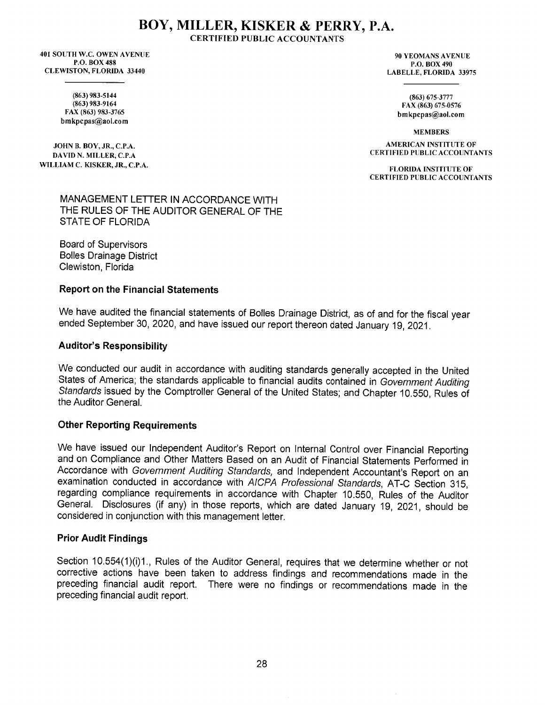# BOY, MILLER, KISKER & PERRY, P.A.

**CERTIFIED PUBLIC ACCOUNTANTS** 

401 SOUTH W.C. OWEN AVENUE **P.O. BOX 488 CLEWISTON, FLORIDA 33440** 

> $(863)$  983-5144  $(863)$  983-9164 FAX (863) 983-3765 bmkpcpas@aol.com

JOHN B. BOY, JR., C.P.A. DAVID N. MILLER, C.P.A WILLIAM C. KISKER, JR., C.P.A.

**90 YEOMANS AVENUE** P.O. BOX 490 **LABELLE, FLORIDA 33975** 

> (863) 675-3777 FAX (863) 675-0576 bmkpcpas@aol.com

**MEMBERS AMERICAN INSTITUTE OF CERTIFIED PUBLIC ACCOUNTANTS** 

**FLORIDA INSTITUTE OF CERTIFIED PUBLIC ACCOUNTANTS** 

#### MANAGEMENT LETTER IN ACCORDANCE WITH THE RULES OF THE AUDITOR GENERAL OF THE **STATE OF FLORIDA**

**Board of Supervisors Bolles Drainage District** Clewiston, Florida

## **Report on the Financial Statements**

We have audited the financial statements of Bolles Drainage District, as of and for the fiscal year ended September 30, 2020, and have issued our report thereon dated January 19, 2021.

## **Auditor's Responsibility**

We conducted our audit in accordance with auditing standards generally accepted in the United States of America; the standards applicable to financial audits contained in Government Auditing Standards issued by the Comptroller General of the United States; and Chapter 10.550, Rules of the Auditor General.

## **Other Reporting Requirements**

We have issued our Independent Auditor's Report on Internal Control over Financial Reporting and on Compliance and Other Matters Based on an Audit of Financial Statements Performed in Accordance with Government Auditing Standards, and Independent Accountant's Report on an examination conducted in accordance with AICPA Professional Standards, AT-C Section 315, regarding compliance requirements in accordance with Chapter 10.550, Rules of the Auditor General. Disclosures (if any) in those reports, which are dated January 19, 2021, should be considered in conjunction with this management letter.

## **Prior Audit Findings**

Section 10.554(1)(i)1., Rules of the Auditor General, requires that we determine whether or not corrective actions have been taken to address findings and recommendations made in the preceding financial audit report. There were no findings or recommendations made in the preceding financial audit report.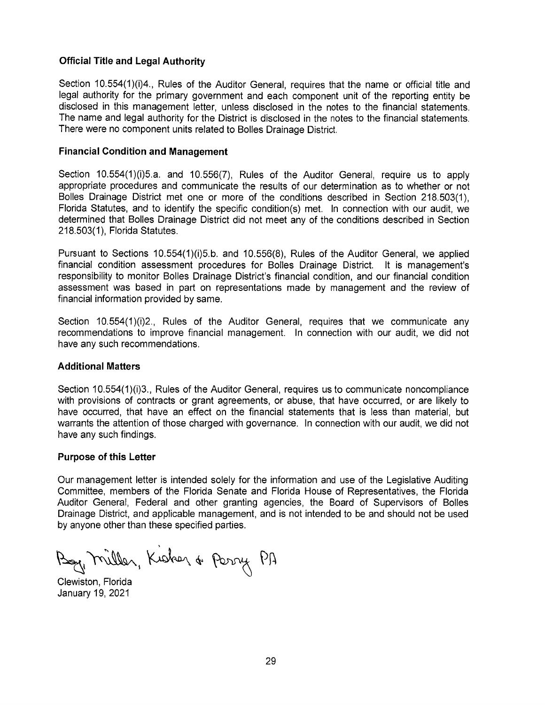## **Official Title and Legal Authority**

Section 10.554(1)(i)4., Rules of the Auditor General, requires that the name or official title and legal authority for the primary government and each component unit of the reporting entity be disclosed in this management letter, unless disclosed in the notes to the financial statements. The name and legal authority for the District is disclosed in the notes to the financial statements. There were no component units related to Bolles Drainage District.

## **Financial Condition and Management**

Section 10.554(1)(i)5.a. and 10.556(7), Rules of the Auditor General, require us to apply appropriate procedures and communicate the results of our determination as to whether or not Bolles Drainage District met one or more of the conditions described in Section 218.503(1), Florida Statutes, and to identify the specific condition(s) met. In connection with our audit, we determined that Bolles Drainage District did not meet any of the conditions described in Section 218.503(1), Florida Statutes.

Pursuant to Sections 10.554(1)(i)5.b. and 10.556(8), Rules of the Auditor General, we applied financial condition assessment procedures for Bolles Drainage District. It is management's responsibility to monitor Bolles Drainage District's financial condition, and our financial condition assessment was based in part on representations made by management and the review of financial information provided by same.

Section 10.554(1)(i)2., Rules of the Auditor General, requires that we communicate any recommendations to improve financial management. In connection with our audit, we did not have any such recommendations.

## **Additional Matters**

Section 10.554(1)(i)3., Rules of the Auditor General, requires us to communicate noncompliance with provisions of contracts or grant agreements, or abuse, that have occurred, or are likely to have occurred, that have an effect on the financial statements that is less than material, but warrants the attention of those charged with governance. In connection with our audit, we did not have any such findings.

## **Purpose of this Letter**

Our management letter is intended solely for the information and use of the Legislative Auditing Committee, members of the Florida Senate and Florida House of Representatives, the Florida Auditor General, Federal and other granting agencies, the Board of Supervisors of Bolles Drainage District, and applicable management, and is not intended to be and should not be used by anyone other than these specified parties.

Bay, miller, Kisker & Perry PA

Clewiston, Florida January 19, 2021